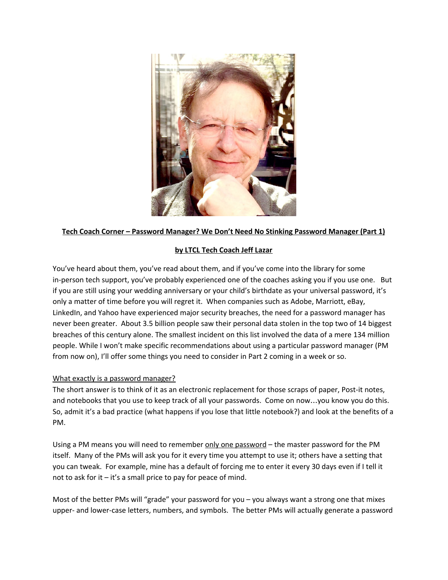

## **Tech Coach Corner – Password Manager? We Don't Need No Stinking Password Manager (Part 1)**

## **by LTCL Tech Coach Jeff Lazar**

You've heard about them, you've read about them, and if you've come into the library for some in-person tech support, you've probably experienced one of the coaches asking you if you use one. But if you are still using your wedding anniversary or your child's birthdate as your universal password, it's only a matter of time before you will regret it. When companies such as Adobe, Marriott, eBay, LinkedIn, and Yahoo have experienced major security breaches, the need for a password manager has never been greater. About 3.5 billion people saw their personal data stolen in the top two of 14 biggest breaches of this century alone. The smallest incident on this list involved the data of a mere 134 million people. While I won't make specific recommendations about using a particular password manager (PM from now on), I'll offer some things you need to consider in Part 2 coming in a week or so.

## What exactly is a password manager?

The short answer is to think of it as an electronic replacement for those scraps of paper, Post-it notes, and notebooks that you use to keep track of all your passwords. Come on now…you know you do this. So, admit it's a bad practice (what happens if you lose that little notebook?) and look at the benefits of a PM.

Using a PM means you will need to remember only one password – the master password for the PM itself. Many of the PMs will ask you for it every time you attempt to use it; others have a setting that you can tweak. For example, mine has a default of forcing me to enter it every 30 days even if I tell it not to ask for it – it's a small price to pay for peace of mind.

Most of the better PMs will "grade" your password for you – you always want a strong one that mixes upper- and lower-case letters, numbers, and symbols. The better PMs will actually generate a password